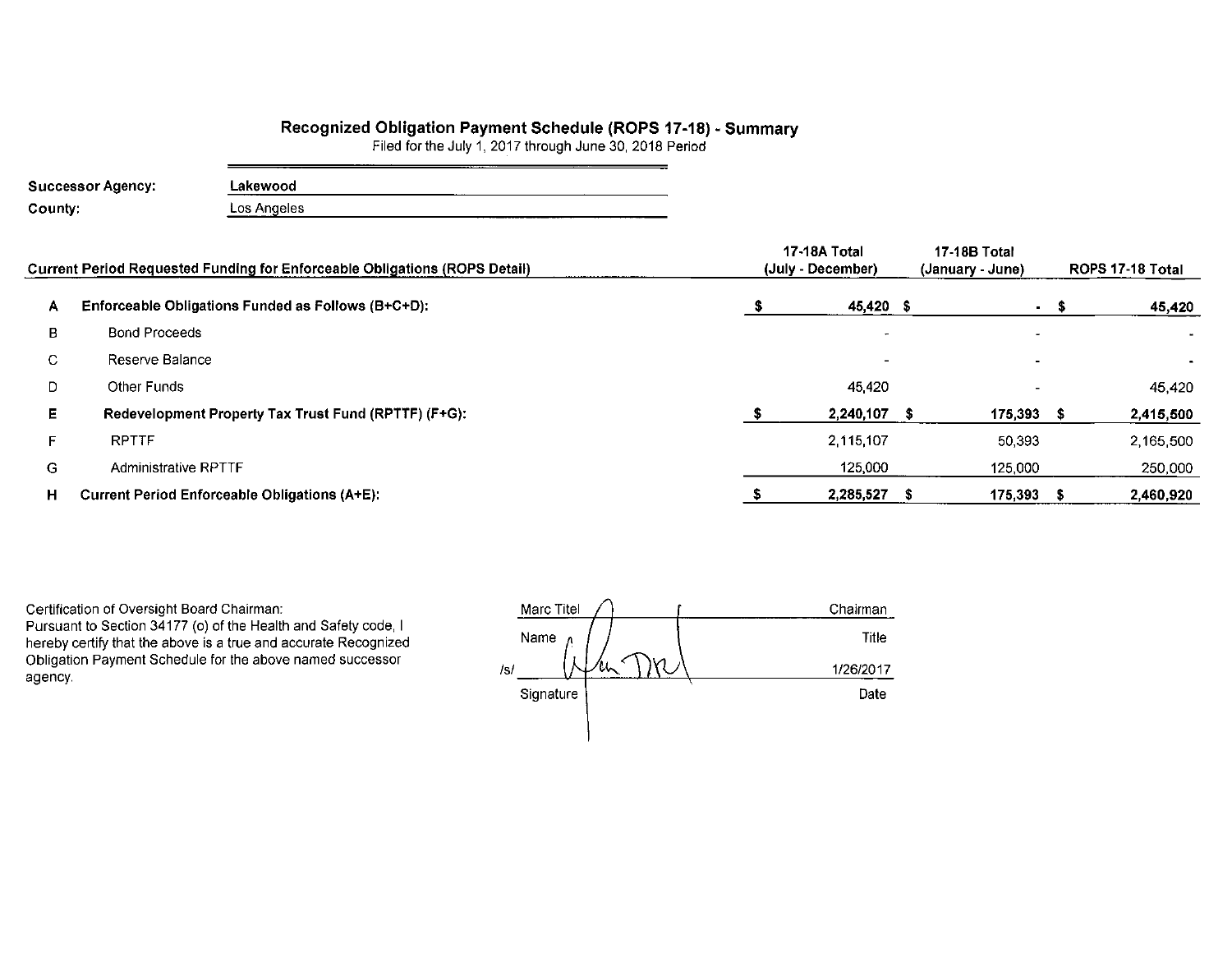# Recognized Obligation Payment Schedule (ROPS 17-18) - Summary<br>Filed for the July 1, 2017 through June 30, 2018 Period

| <b>Successor Agency:</b> | Lakewood    |
|--------------------------|-------------|
| County:                  | Los Angeles |

|    | Current Period Requested Funding for Enforceable Obligations (ROPS Detail) | 17-18A Total<br>(July - December) | 17-18B Total<br>(January - June) |      | ROPS 17-18 Total |
|----|----------------------------------------------------------------------------|-----------------------------------|----------------------------------|------|------------------|
| A  | Enforceable Obligations Funded as Follows (B+C+D):                         | 45,420 \$                         |                                  | - \$ | 45,420           |
| в  | <b>Bond Proceeds</b>                                                       |                                   |                                  |      |                  |
| C. | Reserve Balance                                                            |                                   |                                  |      |                  |
| D  | Other Funds                                                                | 45420                             |                                  |      | 45,420           |
| Е. | Redevelopment Property Tax Trust Fund (RPTTF) (F+G):                       | 2,240,107                         | 175,393                          |      | 2,415,500        |
|    | <b>RPTTF</b>                                                               | 2.115.107                         | 50,393                           |      | 2,165,500        |
| G. | <b>Administrative RPTTF</b>                                                | 125,000                           | 125,000                          |      | 250,000          |
| н. | <b>Current Period Enforceable Obligations (A+E):</b>                       | 2,285,527                         | $175,393$ \$                     |      | 2,460,920        |

Certification of Oversight Board Chairman: Pursuant to Section 34177 (o) of the Health and Safety code, I hereby certify that the above is a true and accurate Recognized Obligation Payment Schedule for the above named successor

agency.

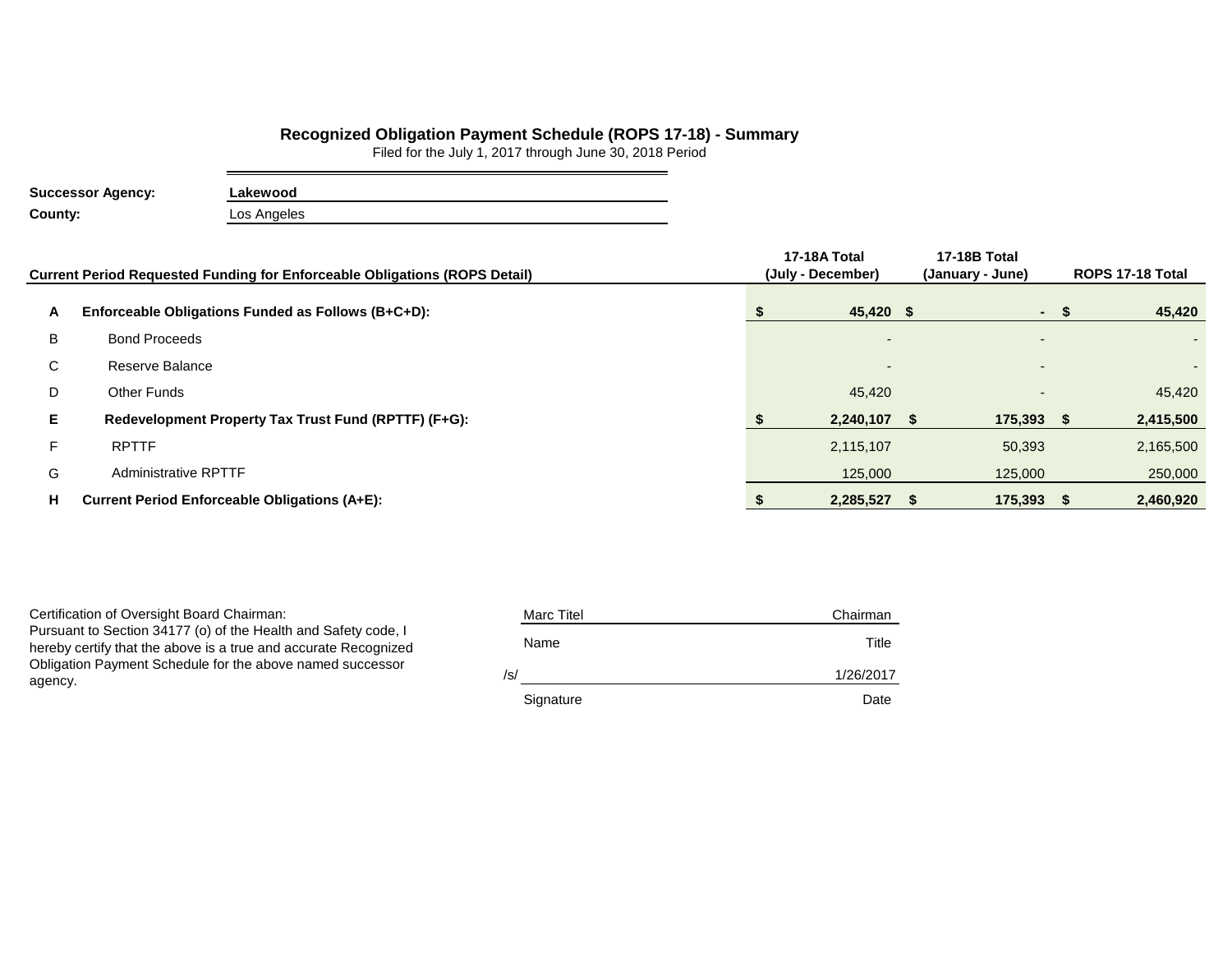## **Recognized Obligation Payment Schedule (ROPS 17-18) - Summary**

Filed for the July 1, 2017 through June 30, 2018 Period

| <b>Successor Agency:</b> | Lakewood    |
|--------------------------|-------------|
| County:                  | Los Angeles |

|    | Current Period Requested Funding for Enforceable Obligations (ROPS Detail) | 17-18A Total<br>(July - December) | <b>17-18B Total</b><br>(January - June) |      | ROPS 17-18 Total |
|----|----------------------------------------------------------------------------|-----------------------------------|-----------------------------------------|------|------------------|
| A  | Enforceable Obligations Funded as Follows (B+C+D):                         | 45,420 \$                         |                                         | $-S$ | 45,420           |
| B  | <b>Bond Proceeds</b>                                                       | $\overline{a}$                    | $\overline{\phantom{a}}$                |      | $\sim$           |
| C  | Reserve Balance                                                            | $\overline{\phantom{a}}$          | $\overline{\phantom{0}}$                |      |                  |
| D  | Other Funds                                                                | 45,420                            | $\overline{\phantom{0}}$                |      | 45,420           |
| E. | Redevelopment Property Tax Trust Fund (RPTTF) (F+G):                       | 2,240,107                         | 175,393 \$                              |      | 2,415,500        |
| F. | <b>RPTTF</b>                                                               | 2,115,107                         | 50,393                                  |      | 2,165,500        |
| G  | <b>Administrative RPTTF</b>                                                | 125,000                           | 125,000                                 |      | 250,000          |
| н. | <b>Current Period Enforceable Obligations (A+E):</b>                       | 2,285,527                         | $175,393$ \$                            |      | 2,460,920        |

Certification of Oversight Board Chairman: Pursuant to Section 34177 (o) of the Health and Safety code, I hereby certify that the above is a true and accurate Recognized Obligation Payment Schedule for the above named successor agency.

| <b>Marc Titel</b> | Chairman  |
|-------------------|-----------|
| Name              | Title     |
| /s/               | 1/26/2017 |
| Signature         | Date      |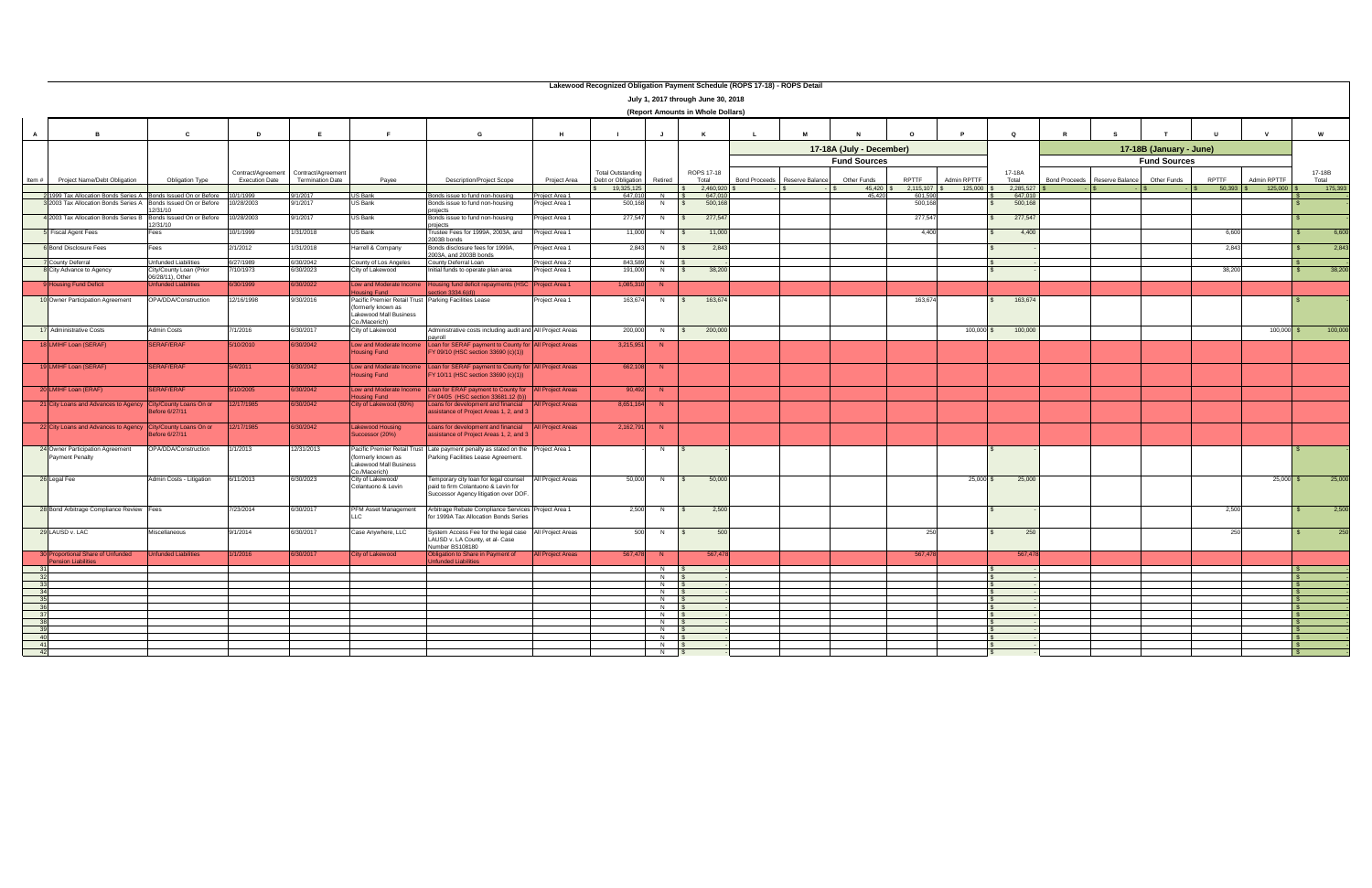|                |                                                                |                                             |                                             |                                               |                                                                                                       |                                                                                                                       |                          | Lakewood Recognized Obligation Payment Schedule (ROPS 17-18) - ROPS Detail |                     |                                    |              |                               |                          |                           |              |                      |                      |                 |                         |        |              |                 |
|----------------|----------------------------------------------------------------|---------------------------------------------|---------------------------------------------|-----------------------------------------------|-------------------------------------------------------------------------------------------------------|-----------------------------------------------------------------------------------------------------------------------|--------------------------|----------------------------------------------------------------------------|---------------------|------------------------------------|--------------|-------------------------------|--------------------------|---------------------------|--------------|----------------------|----------------------|-----------------|-------------------------|--------|--------------|-----------------|
|                |                                                                |                                             |                                             |                                               |                                                                                                       |                                                                                                                       |                          |                                                                            |                     | July 1, 2017 through June 30, 2018 |              |                               |                          |                           |              |                      |                      |                 |                         |        |              |                 |
|                |                                                                |                                             |                                             |                                               |                                                                                                       |                                                                                                                       |                          |                                                                            |                     | (Report Amounts in Whole Dollars)  |              |                               |                          |                           |              |                      |                      |                 |                         |        |              |                 |
| $\overline{A}$ | <b>B</b>                                                       | <b>C</b>                                    | D                                           |                                               |                                                                                                       | G                                                                                                                     | H                        |                                                                            | $\mathbf{J}$        | K                                  | $\mathbf{L}$ |                               |                          | $\Omega$                  |              | $\mathbf Q$          | $\mathbf{R}$         |                 |                         |        |              | W               |
|                |                                                                |                                             |                                             |                                               |                                                                                                       |                                                                                                                       |                          |                                                                            |                     |                                    |              |                               | 17-18A (July - December) |                           |              |                      |                      |                 | 17-18B (January - June) |        |              |                 |
|                |                                                                |                                             |                                             |                                               |                                                                                                       |                                                                                                                       |                          |                                                                            |                     |                                    |              |                               | <b>Fund Sources</b>      |                           |              |                      |                      |                 | <b>Fund Sources</b>     |        |              |                 |
| Item #         | Project Name/Debt Obligation                                   | Obligation Type                             | Contract/Agreement<br><b>Execution Date</b> | Contract/Agreement<br><b>Termination Date</b> | Payee                                                                                                 | <b>Description/Project Scope</b>                                                                                      | Project Area             | <b>Total Outstanding</b><br>Debt or Obligation                             | Retired             | ROPS 17-18<br>Total                |              | Bond Proceeds Reserve Balance | Other Funds              | <b>RPTTF</b>              | Admin RPTTF  | 17-18A<br>Total      | <b>Bond Proceeds</b> | Reserve Balance | Other Funds             | RPTTF  | Admin RPTTF  | 17-18B<br>Total |
|                | 21999 Tax Allocation Bonds Series A Bonds Issued On or Before  |                                             | 10/1/1999                                   | 9/1/2017                                      | US Bank                                                                                               |                                                                                                                       | Project Area 1           | 19,325,125<br>647,010                                                      | $N$ $S$             | 2,460,920 \$<br>647.01             |              |                               | $45,420$ \$<br>45.420    | $2,115,107$ \$<br>601,590 | 125,000      | 2,285,527<br>647,010 |                      |                 |                         | 50,393 |              | 175,393         |
|                | 3 2003 Tax Allocation Bonds Series A Bonds Issued On or Before | 12/31/10                                    | 0/28/2003                                   | 9/1/2017                                      | US Bank                                                                                               | Bonds issue to fund non-housing<br>Bonds issue to fund non-housing                                                    | Project Area 1           | 500,168                                                                    | N<br>$\mathbf{s}$   | 500,168                            |              |                               |                          | 500,168                   |              | 500,168              |                      |                 |                         |        |              |                 |
|                | 4 2003 Tax Allocation Bonds Series B Bonds Issued On or Before |                                             | 10/28/2003                                  | 9/1/2017                                      | US Bank                                                                                               | projects<br>Bonds issue to fund non-housing                                                                           | roject Area 1            | 277,547                                                                    | N                   | 277,547                            |              |                               |                          | 277,547                   |              | 277,547              |                      |                 |                         |        |              |                 |
|                | Fiscal Agent Fees                                              | 12/31/10<br>Fees                            | 10/1/1999                                   | 1/31/2018                                     | US Bank                                                                                               | projects<br>Trustee Fees for 1999A, 2003A, and                                                                        | Project Area 1           | 11,000                                                                     | N                   | 11,000                             |              |                               |                          | 4,400                     |              | 4,400                |                      |                 |                         | 6,600  |              | 6,600           |
|                | <b>6</b> Bond Disclosure Fees                                  | Fees                                        | 2/1/2012                                    | 1/31/2018                                     | Harrell & Company                                                                                     | 2003B bonds<br>Bonds disclosure fees for 1999A,                                                                       | roiect Area 1            | 2,843                                                                      | N                   | 2,843                              |              |                               |                          |                           |              |                      |                      |                 |                         | 2,843  |              | 2,843           |
|                | <b>County Deferral</b>                                         | <b>Jnfunded Liabilities</b>                 | 6/27/1989                                   | 6/30/2042                                     | County of Los Angeles                                                                                 | 2003A, and 2003B bonds<br>County Deferral Loan                                                                        | Project Area 2           | 843,589                                                                    | N.                  |                                    |              |                               |                          |                           |              |                      |                      |                 |                         |        |              |                 |
|                | City Advance to Agency                                         | City/County Loan (Prior<br>06/28/11), Other | 10/1973                                     | 6/30/2023                                     | City of Lakewood                                                                                      | nitial funds to operate plan area                                                                                     | roject Area 1            | 191,000                                                                    | N                   | 38,200                             |              |                               |                          |                           |              |                      |                      |                 |                         | 38,200 |              | 38,200          |
|                | <b>Housing Fund Deficit</b>                                    | <b>Jnfunded Liabilities</b>                 | 6/30/1999                                   | 6/30/2022                                     | Low and Moderate Income<br>using Fund                                                                 | Housing fund deficit repayments (HSC<br>$ection$ 3334.6(d))                                                           | Project Area 1           | 1,085,310                                                                  | N                   |                                    |              |                               |                          |                           |              |                      |                      |                 |                         |        |              |                 |
|                | 10 Owner Participation Agreement                               | OPA/DDA/Construction                        | 12/16/1998                                  | 9/30/2016                                     | Pacific Premier Retail Trust Parking Facilities Lease<br>(formerly known as<br>Lakewood Mall Business |                                                                                                                       | roject Area 1            | 163,674                                                                    | N.                  | 163,674                            |              |                               |                          | 163,674                   |              | 163,674              |                      |                 |                         |        |              |                 |
|                |                                                                |                                             |                                             |                                               | Co./Macerich)                                                                                         |                                                                                                                       |                          |                                                                            |                     |                                    |              |                               |                          |                           |              |                      |                      |                 |                         |        |              |                 |
|                | 17 Administrative Costs                                        | Admin Costs                                 | 7/1/2016                                    | 6/30/2017                                     | City of Lakewood                                                                                      | Administrative costs including audit and All Project Areas<br>llowa                                                   |                          | 200,000                                                                    | N<br>$\sqrt{S}$     | 200,000                            |              |                               |                          |                           | $100,000$ \$ | 100,000              |                      |                 |                         |        | $100,000$ \$ | 100,000         |
|                | 18 LMIHF Loan (SERAF)                                          | <b>SERAF/ERAF</b>                           | 5/10/2010                                   | 6/30/2042                                     | Low and Moderate Income<br>Housing Fund                                                               | Loan for SERAF payment to County for All Project Areas<br>Y 09/10 (HSC section 33690 (c)(1))                          |                          | 3,215,951                                                                  |                     |                                    |              |                               |                          |                           |              |                      |                      |                 |                         |        |              |                 |
|                | 19 LMIHF Loan (SERAF)                                          | SERAF/ERAF                                  | 5/4/2011                                    | 6/30/2042                                     | Low and Moderate Income<br>busing Fund                                                                | Loan for SERAF payment to County for All Project Areas<br>Y 10/11 (HSC section 33690 (c)(1))                          |                          | 662,108                                                                    | $\mathbb N$         |                                    |              |                               |                          |                           |              |                      |                      |                 |                         |        |              |                 |
|                | 20 LMIHF Loan (ERAF)                                           | <b>SERAF/ERAF</b>                           | /10/2005                                    | 6/30/2042                                     | Low and Moderate Income<br>using Fund                                                                 | Loan for ERAF payment to County for<br>Y 04/05 (HSC section 33681.12 (b))                                             | <b>All Project Areas</b> | 90,492                                                                     | N                   |                                    |              |                               |                          |                           |              |                      |                      |                 |                         |        |              |                 |
|                | 21 City Loans and Advances to Agency City/County Loans On or   | efore 6/27/11                               | 2/17/1985                                   | 6/30/2042                                     | City of Lakewood (80%)                                                                                | Loans for development and financial<br>ssistance of Project Areas 1, 2, and 3                                         | <b>All Project Areas</b> | 8.651.164                                                                  | -N-                 |                                    |              |                               |                          |                           |              |                      |                      |                 |                         |        |              |                 |
|                | 22 City Loans and Advances to Agency City/County Loans On or   | efore 6/27/11                               | 12/17/1985                                  | 6/30/2042                                     | Lakewood Housing<br>Successor (20%)                                                                   | Loans for development and financial<br>ssistance of Project Areas 1, 2, and 3                                         | <b>All Project Areas</b> | 2,162,791                                                                  | N                   |                                    |              |                               |                          |                           |              |                      |                      |                 |                         |        |              |                 |
|                | 24 Owner Participation Agreement<br><b>Payment Penalty</b>     | OPA/DDA/Construction                        | /1/2013                                     | 12/31/2013                                    | Pacific Premier Retail Trust<br>(formerly known as<br>Lakewood Mall Business                          | Late payment penalty as stated on the<br>Parking Facilities Lease Agreement.                                          | Project Area 1           |                                                                            | N                   |                                    |              |                               |                          |                           |              |                      |                      |                 |                         |        |              |                 |
|                | 26 Legal Fee                                                   | Admin Costs - Litigation                    | 6/11/2013                                   | 6/30/2023                                     | Co./Macerich)<br>City of Lakewood/<br>Colantuono & Levin                                              | Temporary city loan for legal counsel<br>paid to firm Colantuono & Levin for<br>Successor Agency litigation over DOF. | All Project Areas        | 50,000                                                                     | N<br>$\mathbf{s}$   | 50,000                             |              |                               |                          |                           | $25,000$ \$  | 25,000               |                      |                 |                         |        | $25,000$ \$  | 25,000          |
|                | 28 Bond Arbitrage Compliance Review Fees                       |                                             | 7/23/2014                                   | 6/30/2017                                     | PFM Asset Management                                                                                  | Arbitrage Rebate Compliance Services Project Area 1<br>for 1999A Tax Allocation Bonds Series                          |                          | 2,500                                                                      | N<br>$\mathsf{s}$   | 2,500                              |              |                               |                          |                           |              |                      |                      |                 |                         | 2,500  |              | 2,500           |
|                | 29 LAUSD v. LAC                                                | Miscellaneous                               | 9/1/2014                                    | 6/30/2017                                     | Case Anywhere, LLC                                                                                    | System Access Fee for the legal case<br>LAUSD v. LA County, et al- Case<br>Number BS108180                            | All Project Areas        | 500                                                                        | N                   | 500                                |              |                               |                          | 250                       |              | 250                  |                      |                 |                         | 250    |              | 250             |
|                | 30 Proportional Share of Unfunded<br>Pension Liabilities       | <b>Unfunded Liabilities</b>                 | /1/2016                                     | 6/30/2017                                     | <b>City of Lakewood</b>                                                                               | Obligation to Share in Payment of<br>funded Liabilities                                                               | <b>All Project Areas</b> | 567,478                                                                    | N                   | 567,478                            |              |                               |                          | 567,478                   |              | 567,478              |                      |                 |                         |        |              |                 |
| 31             |                                                                |                                             |                                             |                                               |                                                                                                       |                                                                                                                       |                          |                                                                            | N                   |                                    |              |                               |                          |                           |              |                      |                      |                 |                         |        |              |                 |
|                |                                                                |                                             |                                             |                                               |                                                                                                       |                                                                                                                       |                          |                                                                            | N<br>$\overline{N}$ |                                    |              |                               |                          |                           |              |                      |                      |                 |                         |        |              |                 |
|                |                                                                |                                             |                                             |                                               |                                                                                                       |                                                                                                                       |                          |                                                                            | $\overline{N}$      |                                    |              |                               |                          |                           |              |                      |                      |                 |                         |        |              |                 |
| 36             |                                                                |                                             |                                             |                                               |                                                                                                       |                                                                                                                       |                          |                                                                            | N<br>$N$ \$         |                                    |              |                               |                          |                           |              |                      |                      |                 |                         |        |              |                 |
| 37             |                                                                |                                             |                                             |                                               |                                                                                                       |                                                                                                                       |                          |                                                                            | $N$ \$              |                                    |              |                               |                          |                           |              |                      |                      |                 |                         |        |              |                 |
| 38<br>39       |                                                                |                                             |                                             |                                               |                                                                                                       |                                                                                                                       |                          |                                                                            | $N$ \$<br>$N$ \$    |                                    |              |                               |                          |                           |              |                      |                      |                 |                         |        |              |                 |
| 40             |                                                                |                                             |                                             |                                               |                                                                                                       |                                                                                                                       |                          |                                                                            | N                   |                                    |              |                               |                          |                           |              |                      |                      |                 |                         |        |              |                 |
| 41             |                                                                |                                             |                                             |                                               |                                                                                                       |                                                                                                                       |                          |                                                                            | $\overline{N}$      |                                    |              |                               |                          |                           |              |                      |                      |                 |                         |        |              |                 |
| 42             |                                                                |                                             |                                             |                                               |                                                                                                       |                                                                                                                       |                          |                                                                            | $N$ \$              |                                    |              |                               |                          |                           |              |                      |                      |                 |                         |        |              |                 |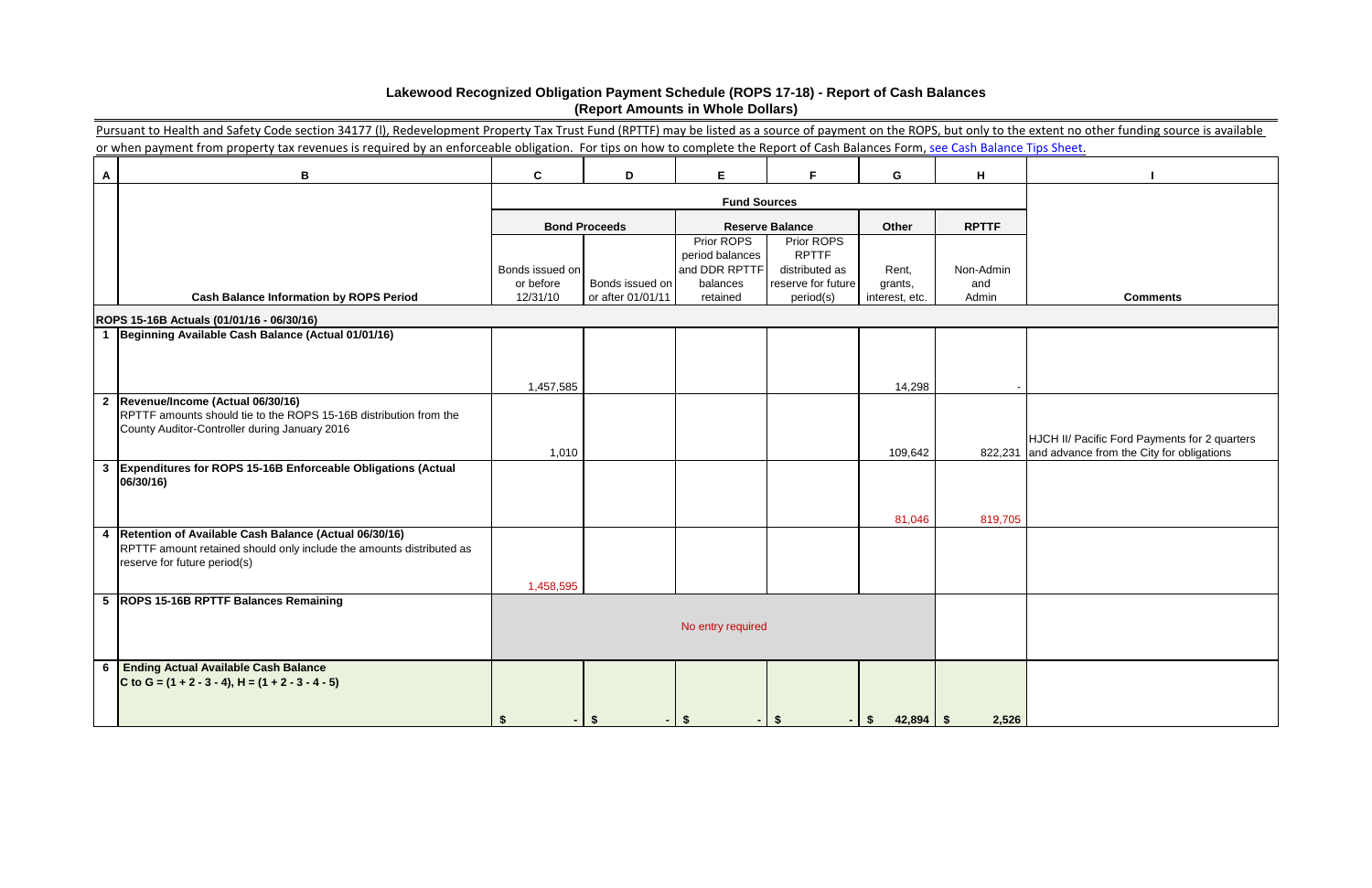|              | Pursuant to Health and Safety Code section 34177 (I), Redevelopment Property Tax Trust Fund (RPTTF) may be listed as a source of payment on the ROPS, but only to the extent no other funding source is available |                       |                                      |                               |                                 |                           |              |                                                                                                    |
|--------------|-------------------------------------------------------------------------------------------------------------------------------------------------------------------------------------------------------------------|-----------------------|--------------------------------------|-------------------------------|---------------------------------|---------------------------|--------------|----------------------------------------------------------------------------------------------------|
|              | or when payment from property tax revenues is required by an enforceable obligation. For tips on how to complete the Report of Cash Balances Form, see Cash Balance Tips Sheet.                                   |                       |                                      |                               |                                 |                           |              |                                                                                                    |
| A            | B                                                                                                                                                                                                                 | $\mathbf{C}$          | D                                    | E.                            | F.                              | G                         | H            |                                                                                                    |
|              |                                                                                                                                                                                                                   |                       |                                      | <b>Fund Sources</b>           |                                 |                           |              |                                                                                                    |
|              |                                                                                                                                                                                                                   |                       | <b>Bond Proceeds</b>                 |                               | <b>Reserve Balance</b>          | Other                     | <b>RPTTF</b> |                                                                                                    |
|              |                                                                                                                                                                                                                   |                       |                                      | Prior ROPS<br>period balances | Prior ROPS<br><b>RPTTF</b>      |                           |              |                                                                                                    |
|              |                                                                                                                                                                                                                   | Bonds issued on       |                                      | and DDR RPTTF                 | distributed as                  | Rent,                     | Non-Admin    |                                                                                                    |
|              | <b>Cash Balance Information by ROPS Period</b>                                                                                                                                                                    | or before<br>12/31/10 | Bonds issued on<br>or after 01/01/11 | balances<br>retained          | reserve for future<br>period(s) | grants,<br>interest, etc. | and<br>Admin | <b>Comments</b>                                                                                    |
|              | ROPS 15-16B Actuals (01/01/16 - 06/30/16)                                                                                                                                                                         |                       |                                      |                               |                                 |                           |              |                                                                                                    |
|              | 1 Beginning Available Cash Balance (Actual 01/01/16)                                                                                                                                                              |                       |                                      |                               |                                 |                           |              |                                                                                                    |
|              |                                                                                                                                                                                                                   |                       |                                      |                               |                                 |                           |              |                                                                                                    |
|              |                                                                                                                                                                                                                   | 1,457,585             |                                      |                               |                                 | 14,298                    |              |                                                                                                    |
|              | 2 Revenue/Income (Actual 06/30/16)                                                                                                                                                                                |                       |                                      |                               |                                 |                           |              |                                                                                                    |
|              | RPTTF amounts should tie to the ROPS 15-16B distribution from the<br>County Auditor-Controller during January 2016                                                                                                |                       |                                      |                               |                                 |                           |              |                                                                                                    |
|              |                                                                                                                                                                                                                   | 1,010                 |                                      |                               |                                 | 109,642                   |              | HJCH II/ Pacific Ford Payments for 2 quarters<br>822,231 and advance from the City for obligations |
| $\mathbf{3}$ | Expenditures for ROPS 15-16B Enforceable Obligations (Actual                                                                                                                                                      |                       |                                      |                               |                                 |                           |              |                                                                                                    |
|              | 06/30/16)                                                                                                                                                                                                         |                       |                                      |                               |                                 |                           |              |                                                                                                    |
|              |                                                                                                                                                                                                                   |                       |                                      |                               |                                 | 81,046                    | 819,705      |                                                                                                    |
| 4            | Retention of Available Cash Balance (Actual 06/30/16)                                                                                                                                                             |                       |                                      |                               |                                 |                           |              |                                                                                                    |
|              | RPTTF amount retained should only include the amounts distributed as<br>reserve for future period(s)                                                                                                              |                       |                                      |                               |                                 |                           |              |                                                                                                    |
|              |                                                                                                                                                                                                                   | 1,458,595             |                                      |                               |                                 |                           |              |                                                                                                    |
|              | 5  ROPS 15-16B RPTTF Balances Remaining                                                                                                                                                                           |                       |                                      |                               |                                 |                           |              |                                                                                                    |
|              |                                                                                                                                                                                                                   |                       |                                      | No entry required             |                                 |                           |              |                                                                                                    |
|              |                                                                                                                                                                                                                   |                       |                                      |                               |                                 |                           |              |                                                                                                    |
|              | 6 Ending Actual Available Cash Balance<br>C to G = $(1 + 2 - 3 - 4)$ , H = $(1 + 2 - 3 - 4 - 5)$                                                                                                                  |                       |                                      |                               |                                 |                           |              |                                                                                                    |
|              |                                                                                                                                                                                                                   |                       |                                      |                               |                                 |                           |              |                                                                                                    |
|              |                                                                                                                                                                                                                   |                       |                                      |                               |                                 | S.                        | 2,526        |                                                                                                    |

# **Lakewood Recognized Obligation Payment Schedule (ROPS 17-18) - Report of Cash Balances (Report Amounts in Whole Dollars)**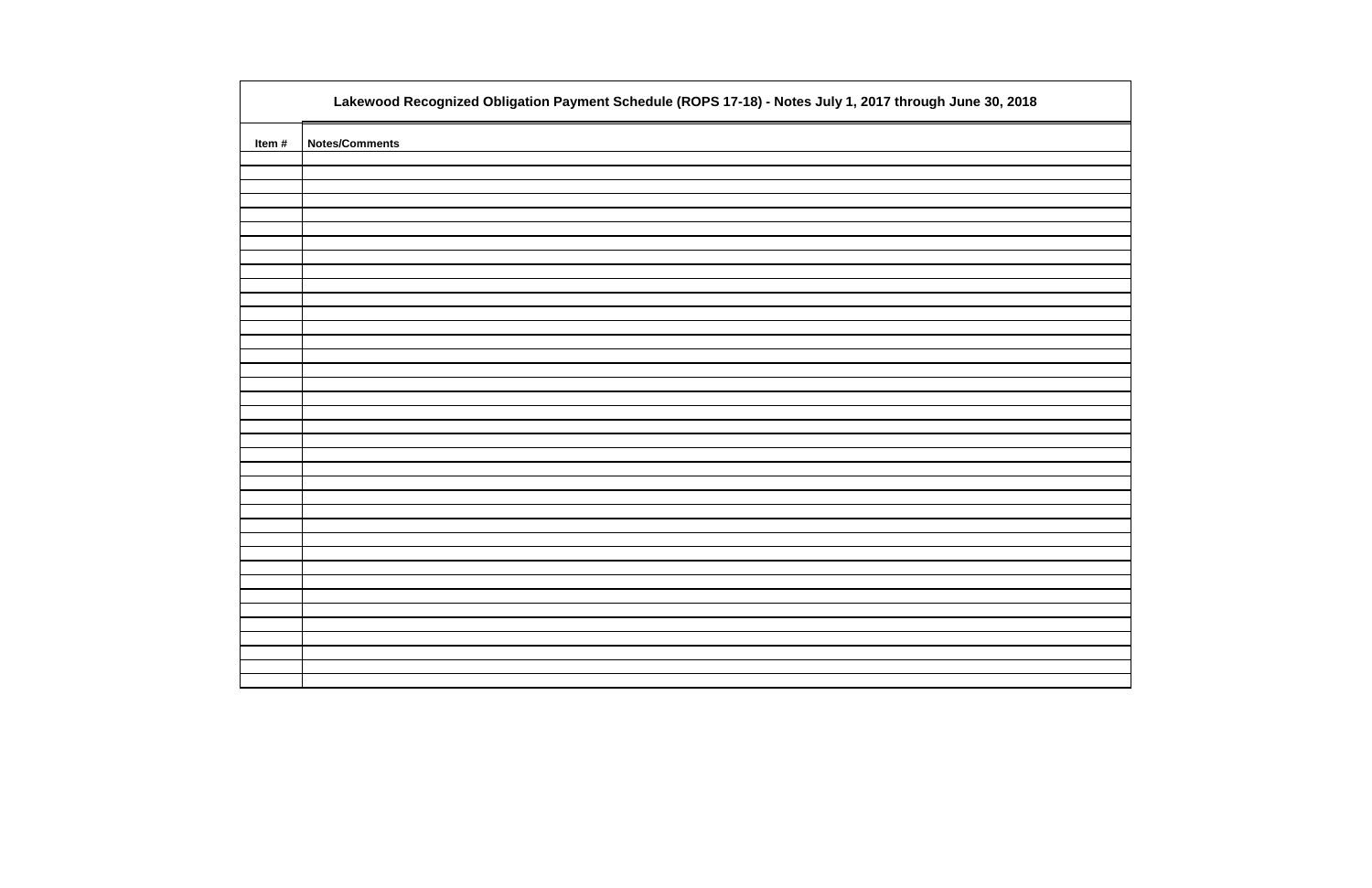|       | Lakewood Recognized Obligation Payment Schedule (ROPS 17-18) - Notes July 1, 2017 through June 30, 2018 |
|-------|---------------------------------------------------------------------------------------------------------|
| Item# | <b>Notes/Comments</b>                                                                                   |
|       |                                                                                                         |
|       |                                                                                                         |
|       |                                                                                                         |
|       |                                                                                                         |
|       |                                                                                                         |
|       |                                                                                                         |
|       |                                                                                                         |
|       |                                                                                                         |
|       |                                                                                                         |
|       |                                                                                                         |
|       |                                                                                                         |
|       |                                                                                                         |
|       |                                                                                                         |
|       |                                                                                                         |
|       |                                                                                                         |
|       |                                                                                                         |
|       |                                                                                                         |
|       |                                                                                                         |
|       |                                                                                                         |
|       |                                                                                                         |
|       |                                                                                                         |
|       |                                                                                                         |
|       |                                                                                                         |
|       |                                                                                                         |
|       |                                                                                                         |

| 2018 |  |
|------|--|
|      |  |
|      |  |
|      |  |
|      |  |
|      |  |
|      |  |
|      |  |
|      |  |
|      |  |
|      |  |
|      |  |
|      |  |
|      |  |
|      |  |
|      |  |
|      |  |
|      |  |
|      |  |
|      |  |